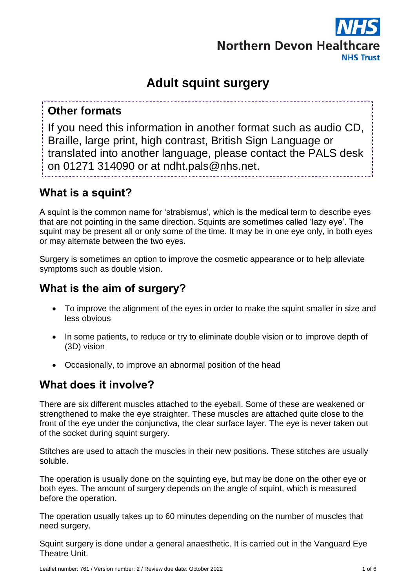

# **Adult squint surgery**

## **Other formats**

If you need this information in another format such as audio CD, Braille, large print, high contrast, British Sign Language or translated into another language, please contact the PALS desk on 01271 314090 or at ndht.pals@nhs.net.

## **What is a squint?**

A squint is the common name for 'strabismus', which is the medical term to describe eyes that are not pointing in the same direction. Squints are sometimes called 'lazy eye'. The squint may be present all or only some of the time. It may be in one eye only, in both eyes or may alternate between the two eyes.

Surgery is sometimes an option to improve the cosmetic appearance or to help alleviate symptoms such as double vision.

## **What is the aim of surgery?**

- To improve the alignment of the eyes in order to make the squint smaller in size and less obvious
- In some patients, to reduce or try to eliminate double vision or to improve depth of (3D) vision
- Occasionally, to improve an abnormal position of the head

## **What does it involve?**

There are six different muscles attached to the eyeball. Some of these are weakened or strengthened to make the eye straighter. These muscles are attached quite close to the front of the eye under the conjunctiva, the clear surface layer. The eye is never taken out of the socket during squint surgery.

Stitches are used to attach the muscles in their new positions. These stitches are usually soluble.

The operation is usually done on the squinting eye, but may be done on the other eye or both eyes. The amount of surgery depends on the angle of squint, which is measured before the operation.

The operation usually takes up to 60 minutes depending on the number of muscles that need surgery.

Squint surgery is done under a general anaesthetic. It is carried out in the Vanguard Eye Theatre Unit.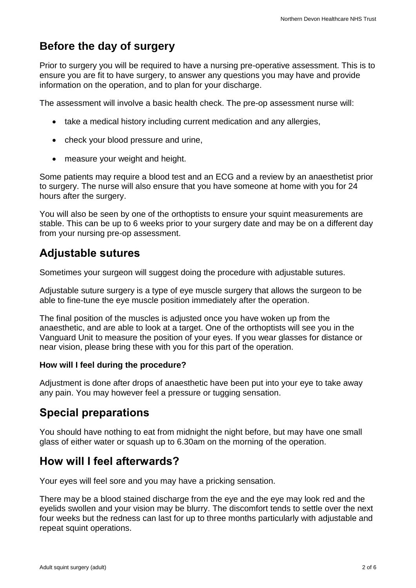## **Before the day of surgery**

Prior to surgery you will be required to have a nursing pre-operative assessment. This is to ensure you are fit to have surgery, to answer any questions you may have and provide information on the operation, and to plan for your discharge.

The assessment will involve a basic health check. The pre-op assessment nurse will:

- take a medical history including current medication and any allergies,
- check your blood pressure and urine,
- measure your weight and height.

Some patients may require a blood test and an ECG and a review by an anaesthetist prior to surgery. The nurse will also ensure that you have someone at home with you for 24 hours after the surgery.

You will also be seen by one of the orthoptists to ensure your squint measurements are stable. This can be up to 6 weeks prior to your surgery date and may be on a different day from your nursing pre-op assessment.

## **Adjustable sutures**

Sometimes your surgeon will suggest doing the procedure with adjustable sutures.

Adjustable suture surgery is a type of eye muscle surgery that allows the surgeon to be able to fine-tune the eye muscle position immediately after the operation.

The final position of the muscles is adjusted once you have woken up from the anaesthetic, and are able to look at a target. One of the orthoptists will see you in the Vanguard Unit to measure the position of your eyes. If you wear glasses for distance or near vision, please bring these with you for this part of the operation.

### **How will I feel during the procedure?**

Adjustment is done after drops of anaesthetic have been put into your eye to take away any pain. You may however feel a pressure or tugging sensation.

## **Special preparations**

You should have nothing to eat from midnight the night before, but may have one small glass of either water or squash up to 6.30am on the morning of the operation.

### **How will I feel afterwards?**

Your eyes will feel sore and you may have a pricking sensation.

There may be a blood stained discharge from the eye and the eye may look red and the eyelids swollen and your vision may be blurry. The discomfort tends to settle over the next four weeks but the redness can last for up to three months particularly with adjustable and repeat squint operations.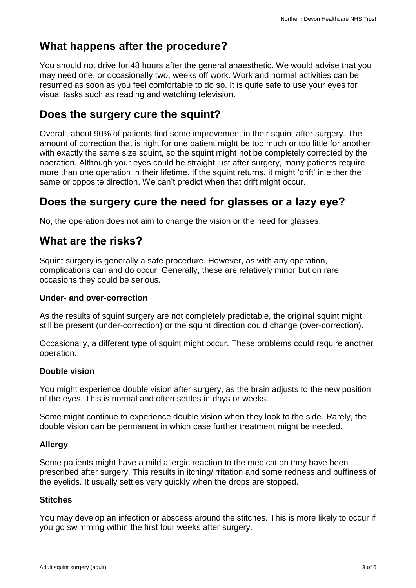## **What happens after the procedure?**

You should not drive for 48 hours after the general anaesthetic. We would advise that you may need one, or occasionally two, weeks off work. Work and normal activities can be resumed as soon as you feel comfortable to do so. It is quite safe to use your eyes for visual tasks such as reading and watching television.

## **Does the surgery cure the squint?**

Overall, about 90% of patients find some improvement in their squint after surgery. The amount of correction that is right for one patient might be too much or too little for another with exactly the same size squint, so the squint might not be completely corrected by the operation. Although your eyes could be straight just after surgery, many patients require more than one operation in their lifetime. If the squint returns, it might 'drift' in either the same or opposite direction. We can't predict when that drift might occur.

## **Does the surgery cure the need for glasses or a lazy eye?**

No, the operation does not aim to change the vision or the need for glasses.

### **What are the risks?**

Squint surgery is generally a safe procedure. However, as with any operation, complications can and do occur. Generally, these are relatively minor but on rare occasions they could be serious.

#### **Under- and over-correction**

As the results of squint surgery are not completely predictable, the original squint might still be present (under-correction) or the squint direction could change (over-correction).

Occasionally, a different type of squint might occur. These problems could require another operation.

### **Double vision**

You might experience double vision after surgery, as the brain adjusts to the new position of the eyes. This is normal and often settles in days or weeks.

Some might continue to experience double vision when they look to the side. Rarely, the double vision can be permanent in which case further treatment might be needed.

### **Allergy**

Some patients might have a mild allergic reaction to the medication they have been prescribed after surgery. This results in itching/irritation and some redness and puffiness of the eyelids. It usually settles very quickly when the drops are stopped.

### **Stitches**

You may develop an infection or abscess around the stitches. This is more likely to occur if you go swimming within the first four weeks after surgery.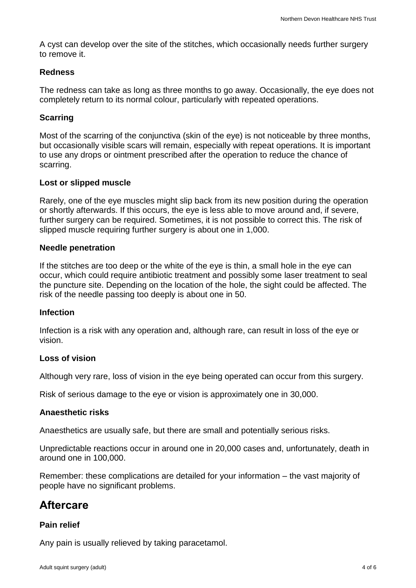A cyst can develop over the site of the stitches, which occasionally needs further surgery to remove it.

#### **Redness**

The redness can take as long as three months to go away. Occasionally, the eye does not completely return to its normal colour, particularly with repeated operations.

#### **Scarring**

Most of the scarring of the conjunctiva (skin of the eye) is not noticeable by three months, but occasionally visible scars will remain, especially with repeat operations. It is important to use any drops or ointment prescribed after the operation to reduce the chance of scarring.

#### **Lost or slipped muscle**

Rarely, one of the eye muscles might slip back from its new position during the operation or shortly afterwards. If this occurs, the eye is less able to move around and, if severe, further surgery can be required. Sometimes, it is not possible to correct this. The risk of slipped muscle requiring further surgery is about one in 1,000.

#### **Needle penetration**

If the stitches are too deep or the white of the eye is thin, a small hole in the eye can occur, which could require antibiotic treatment and possibly some laser treatment to seal the puncture site. Depending on the location of the hole, the sight could be affected. The risk of the needle passing too deeply is about one in 50.

#### **Infection**

Infection is a risk with any operation and, although rare, can result in loss of the eye or vision.

#### **Loss of vision**

Although very rare, loss of vision in the eye being operated can occur from this surgery.

Risk of serious damage to the eye or vision is approximately one in 30,000.

#### **Anaesthetic risks**

Anaesthetics are usually safe, but there are small and potentially serious risks.

Unpredictable reactions occur in around one in 20,000 cases and, unfortunately, death in around one in 100,000.

Remember: these complications are detailed for your information – the vast majority of people have no significant problems.

### **Aftercare**

#### **Pain relief**

Any pain is usually relieved by taking paracetamol.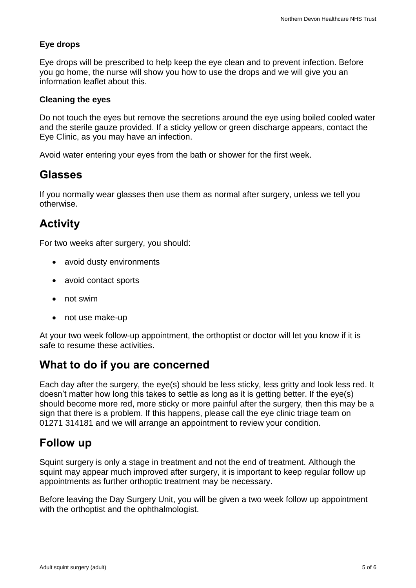### **Eye drops**

Eye drops will be prescribed to help keep the eye clean and to prevent infection. Before you go home, the nurse will show you how to use the drops and we will give you an information leaflet about this.

#### **Cleaning the eyes**

Do not touch the eyes but remove the secretions around the eye using boiled cooled water and the sterile gauze provided. If a sticky yellow or green discharge appears, contact the Eye Clinic, as you may have an infection.

Avoid water entering your eyes from the bath or shower for the first week.

### **Glasses**

If you normally wear glasses then use them as normal after surgery, unless we tell you otherwise.

### **Activity**

For two weeks after surgery, you should:

- avoid dusty environments
- avoid contact sports
- not swim
- not use make-up

At your two week follow-up appointment, the orthoptist or doctor will let you know if it is safe to resume these activities.

### **What to do if you are concerned**

Each day after the surgery, the eye(s) should be less sticky, less gritty and look less red. It doesn't matter how long this takes to settle as long as it is getting better. If the eye(s) should become more red, more sticky or more painful after the surgery, then this may be a sign that there is a problem. If this happens, please call the eye clinic triage team on 01271 314181 and we will arrange an appointment to review your condition.

### **Follow up**

Squint surgery is only a stage in treatment and not the end of treatment. Although the squint may appear much improved after surgery, it is important to keep regular follow up appointments as further orthoptic treatment may be necessary.

Before leaving the Day Surgery Unit, you will be given a two week follow up appointment with the orthoptist and the ophthalmologist.